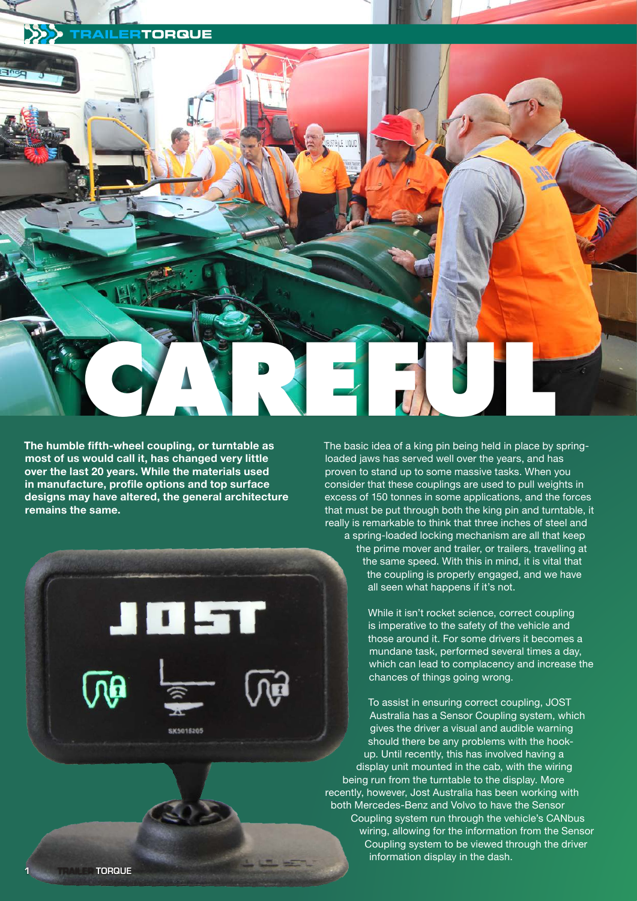

**The humble fifth-wheel coupling, or turntable as most of us would call it, has changed very little over the last 20 years. While the materials used in manufacture, profile options and top surface designs may have altered, the general architecture remains the same.** 



The basic idea of a king pin being held in place by springloaded jaws has served well over the years, and has proven to stand up to some massive tasks. When you consider that these couplings are used to pull weights in excess of 150 tonnes in some applications, and the forces that must be put through both the king pin and turntable, it really is remarkable to think that three inches of steel and a spring-loaded locking mechanism are all that keep the prime mover and trailer, or trailers, travelling at the same speed. With this in mind, it is vital that the coupling is properly engaged, and we have all seen what happens if it's not.

> While it isn't rocket science, correct coupling is imperative to the safety of the vehicle and those around it. For some drivers it becomes a mundane task, performed several times a day, which can lead to complacency and increase the chances of things going wrong.

To assist in ensuring correct coupling, JOST Australia has a Sensor Coupling system, which gives the driver a visual and audible warning should there be any problems with the hookup. Until recently, this has involved having a display unit mounted in the cab, with the wiring being run from the turntable to the display. More recently, however, Jost Australia has been working with both Mercedes-Benz and Volvo to have the Sensor Coupling system run through the vehicle's CANbus wiring, allowing for the information from the Sensor Coupling system to be viewed through the driver information display in the dash.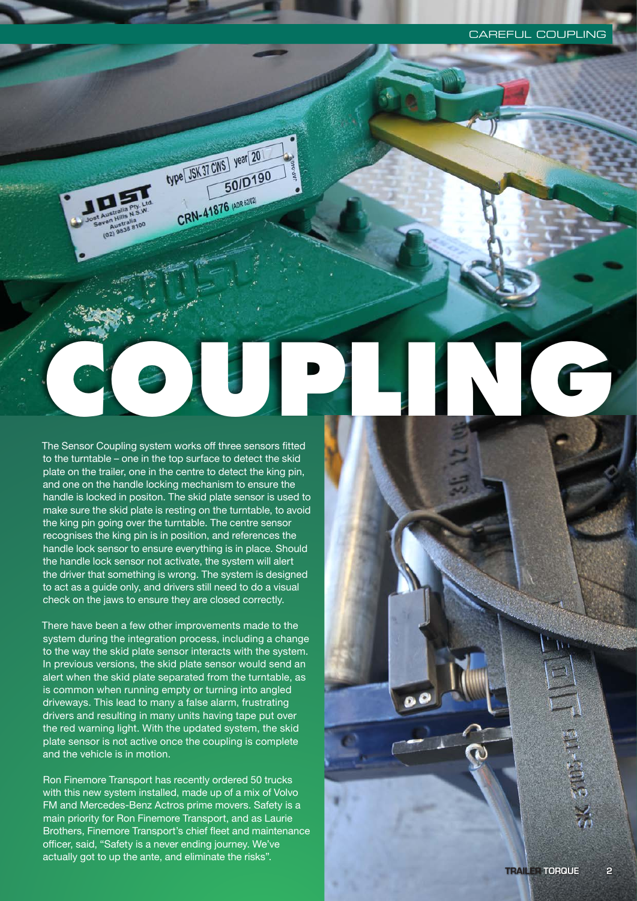The Sensor Coupling system works off three sensors fitted to the turntable – one in the top surface to detect the skid plate on the trailer, one in the centre to detect the king pin, and one on the handle locking mechanism to ensure the handle is locked in positon. The skid plate sensor is used to make sure the skid plate is resting on the turntable, to avoid the king pin going over the turntable. The centre sensor recognises the king pin is in position, and references the handle lock sensor to ensure everything is in place. Should the handle lock sensor not activate, the system will alert the driver that something is wrong. The system is designed to act as a guide only, and drivers still need to do a visual check on the jaws to ensure they are closed correctly. **CAREFUL COUPLING** 

type JSK 37 CWS year 20

CRN-41876 (ADR 6202)

50/D190

There have been a few other improvements made to the system during the integration process, including a change to the way the skid plate sensor interacts with the system. In previous versions, the skid plate sensor would send an alert when the skid plate separated from the turntable, as is common when running empty or turning into angled driveways. This lead to many a false alarm, frustrating drivers and resulting in many units having tape put over the red warning light. With the updated system, the skid plate sensor is not active once the coupling is complete and the vehicle is in motion.

Ron Finemore Transport has recently ordered 50 trucks with this new system installed, made up of a mix of Volvo FM and Mercedes-Benz Actros prime movers. Safety is a main priority for Ron Finemore Transport, and as Laurie Brothers, Finemore Transport's chief fleet and maintenance officer, said, "Safety is a never ending journey. We've actually got to up the ante, and eliminate the risks".

HENDE XE